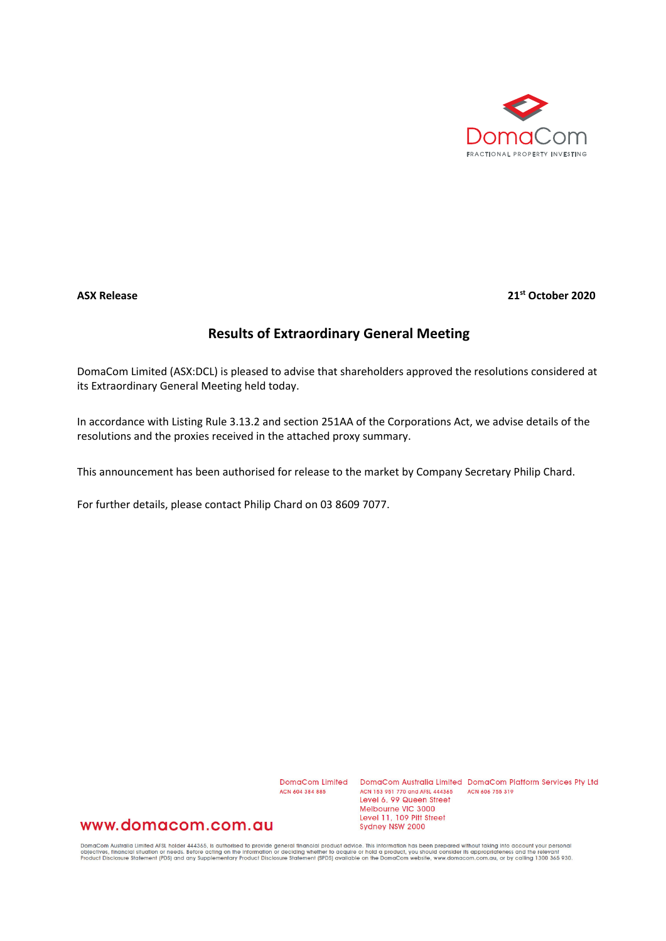

## **ASX Release 21st October 2020**

## **Results of Extraordinary General Meeting**

DomaCom Limited (ASX:DCL) is pleased to advise that shareholders approved the resolutions considered at its Extraordinary General Meeting held today.

In accordance with Listing Rule 3.13.2 and section 251AA of the Corporations Act, we advise details of the resolutions and the proxies received in the attached proxy summary.

This announcement has been authorised for release to the market by Company Secretary Philip Chard.

For further details, please contact Philip Chard on 03 8609 7077.

ACN 604 384 885

DomaCom Limited DomaCom Australia Limited DomaCom Platform Services Pty Ltd ACN 153 951 770 and AFSL 444365 ACN 606 755 319 Level 6, 99 Queen Street Melbourne VIC 3000 Level 11, 109 Pitt Street Sydney NSW 2000

## www.domacom.com.au

DomaCom Australia Limited AFSL holder 444365, is authorised to provide general financial product advice. This information has been prepared without taking into account your personal<br>objectives, financial situation or needs